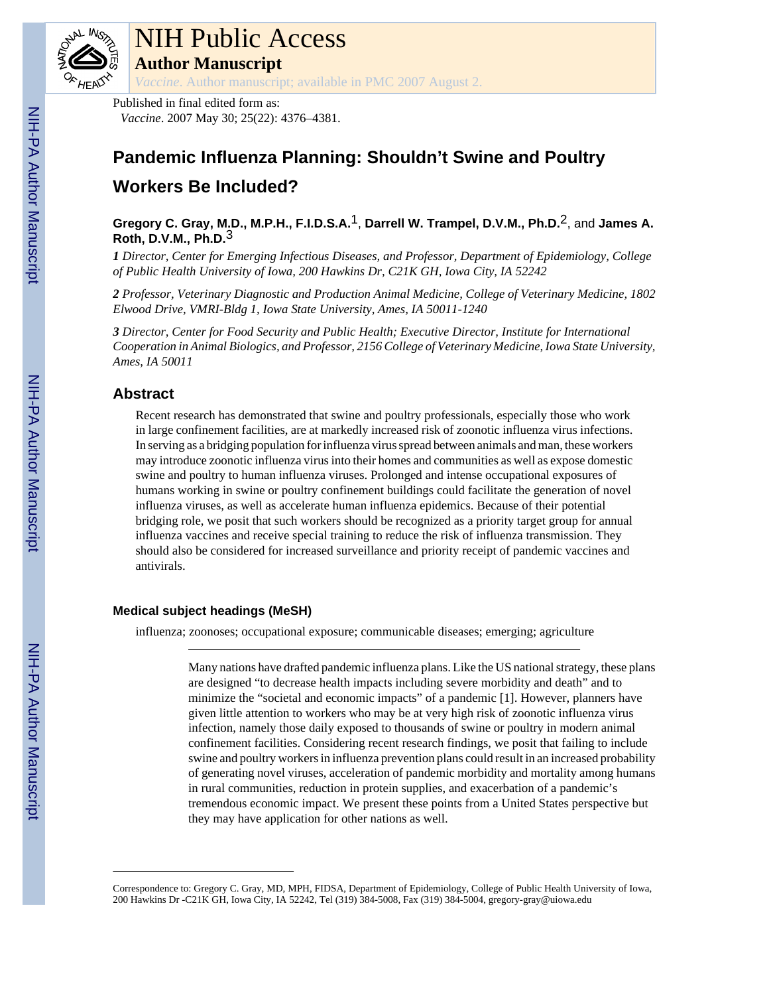

*Vaccine*. Author manuscript; available in PMC 2007 August 2.

Published in final edited form as: *Vaccine*. 2007 May 30; 25(22): 4376–4381.

# **Pandemic Influenza Planning: Shouldn't Swine and Poultry Workers Be Included?**

**Gregory C. Gray, M.D., M.P.H., F.I.D.S.A.**1, **Darrell W. Trampel, D.V.M., Ph.D.**2, and **James A. Roth, D.V.M., Ph.D.**3

*1 Director, Center for Emerging Infectious Diseases, and Professor, Department of Epidemiology, College of Public Health University of Iowa, 200 Hawkins Dr, C21K GH, Iowa City, IA 52242*

*2 Professor, Veterinary Diagnostic and Production Animal Medicine, College of Veterinary Medicine, 1802 Elwood Drive, VMRI-Bldg 1, Iowa State University, Ames, IA 50011-1240*

*3 Director, Center for Food Security and Public Health; Executive Director, Institute for International Cooperation in Animal Biologics, and Professor, 2156 College of Veterinary Medicine, Iowa State University, Ames, IA 50011*

### **Abstract**

Recent research has demonstrated that swine and poultry professionals, especially those who work in large confinement facilities, are at markedly increased risk of zoonotic influenza virus infections. In serving as a bridging population for influenza virus spread between animals and man, these workers may introduce zoonotic influenza virus into their homes and communities as well as expose domestic swine and poultry to human influenza viruses. Prolonged and intense occupational exposures of humans working in swine or poultry confinement buildings could facilitate the generation of novel influenza viruses, as well as accelerate human influenza epidemics. Because of their potential bridging role, we posit that such workers should be recognized as a priority target group for annual influenza vaccines and receive special training to reduce the risk of influenza transmission. They should also be considered for increased surveillance and priority receipt of pandemic vaccines and antivirals.

#### **Medical subject headings (MeSH)**

influenza; zoonoses; occupational exposure; communicable diseases; emerging; agriculture

Many nations have drafted pandemic influenza plans. Like the US national strategy, these plans are designed "to decrease health impacts including severe morbidity and death" and to minimize the "societal and economic impacts" of a pandemic [1]. However, planners have given little attention to workers who may be at very high risk of zoonotic influenza virus infection, namely those daily exposed to thousands of swine or poultry in modern animal confinement facilities. Considering recent research findings, we posit that failing to include swine and poultry workers in influenza prevention plans could result in an increased probability of generating novel viruses, acceleration of pandemic morbidity and mortality among humans in rural communities, reduction in protein supplies, and exacerbation of a pandemic's tremendous economic impact. We present these points from a United States perspective but they may have application for other nations as well.

Correspondence to: Gregory C. Gray, MD, MPH, FIDSA, Department of Epidemiology, College of Public Health University of Iowa, 200 Hawkins Dr -C21K GH, Iowa City, IA 52242, Tel (319) 384-5008, Fax (319) 384-5004, gregory-gray@uiowa.edu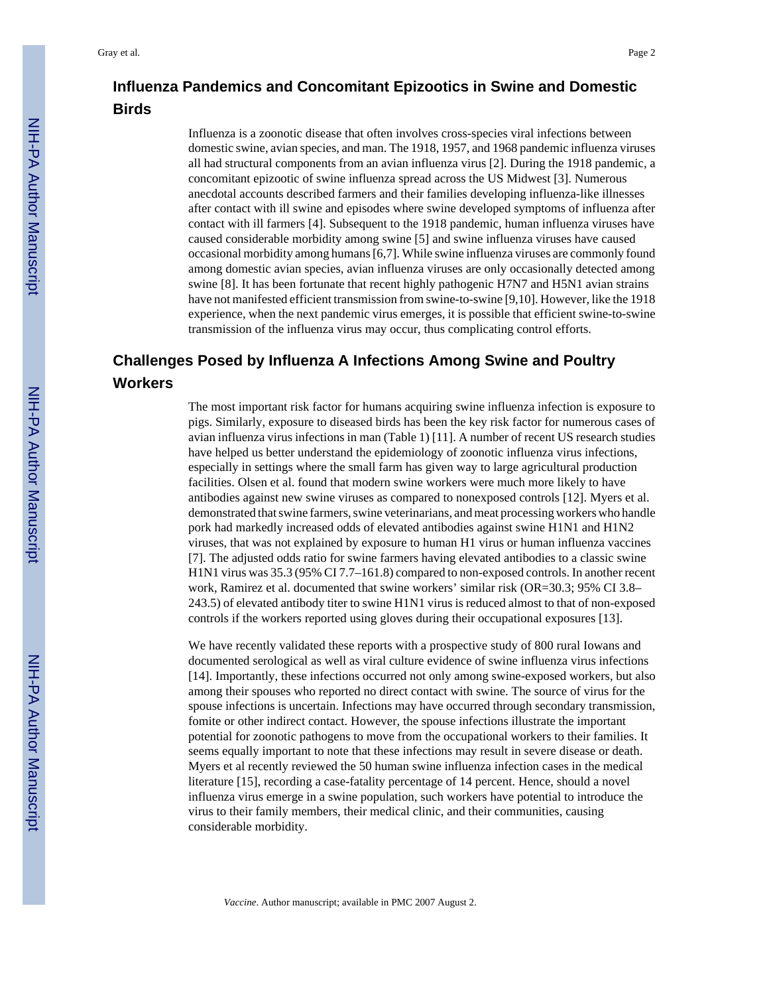### **Influenza Pandemics and Concomitant Epizootics in Swine and Domestic Birds**

Influenza is a zoonotic disease that often involves cross-species viral infections between domestic swine, avian species, and man. The 1918, 1957, and 1968 pandemic influenza viruses all had structural components from an avian influenza virus [2]. During the 1918 pandemic, a concomitant epizootic of swine influenza spread across the US Midwest [3]. Numerous anecdotal accounts described farmers and their families developing influenza-like illnesses after contact with ill swine and episodes where swine developed symptoms of influenza after contact with ill farmers [4]. Subsequent to the 1918 pandemic, human influenza viruses have caused considerable morbidity among swine [5] and swine influenza viruses have caused occasional morbidity among humans [6,7]. While swine influenza viruses are commonly found among domestic avian species, avian influenza viruses are only occasionally detected among swine [8]. It has been fortunate that recent highly pathogenic H7N7 and H5N1 avian strains have not manifested efficient transmission from swine-to-swine [9,10]. However, like the 1918 experience, when the next pandemic virus emerges, it is possible that efficient swine-to-swine transmission of the influenza virus may occur, thus complicating control efforts.

## **Challenges Posed by Influenza A Infections Among Swine and Poultry Workers**

The most important risk factor for humans acquiring swine influenza infection is exposure to pigs. Similarly, exposure to diseased birds has been the key risk factor for numerous cases of avian influenza virus infections in man (Table 1) [11]. A number of recent US research studies have helped us better understand the epidemiology of zoonotic influenza virus infections, especially in settings where the small farm has given way to large agricultural production facilities. Olsen et al. found that modern swine workers were much more likely to have antibodies against new swine viruses as compared to nonexposed controls [12]. Myers et al. demonstrated that swine farmers, swine veterinarians, and meat processing workers who handle pork had markedly increased odds of elevated antibodies against swine H1N1 and H1N2 viruses, that was not explained by exposure to human H1 virus or human influenza vaccines [7]. The adjusted odds ratio for swine farmers having elevated antibodies to a classic swine H1N1 virus was 35.3 (95% CI 7.7–161.8) compared to non-exposed controls. In another recent work, Ramirez et al. documented that swine workers' similar risk (OR=30.3; 95% CI 3.8– 243.5) of elevated antibody titer to swine H1N1 virus is reduced almost to that of non-exposed controls if the workers reported using gloves during their occupational exposures [13].

We have recently validated these reports with a prospective study of 800 rural Iowans and documented serological as well as viral culture evidence of swine influenza virus infections [14]. Importantly, these infections occurred not only among swine-exposed workers, but also among their spouses who reported no direct contact with swine. The source of virus for the spouse infections is uncertain. Infections may have occurred through secondary transmission, fomite or other indirect contact. However, the spouse infections illustrate the important potential for zoonotic pathogens to move from the occupational workers to their families. It seems equally important to note that these infections may result in severe disease or death. Myers et al recently reviewed the 50 human swine influenza infection cases in the medical literature [15], recording a case-fatality percentage of 14 percent. Hence, should a novel influenza virus emerge in a swine population, such workers have potential to introduce the virus to their family members, their medical clinic, and their communities, causing considerable morbidity.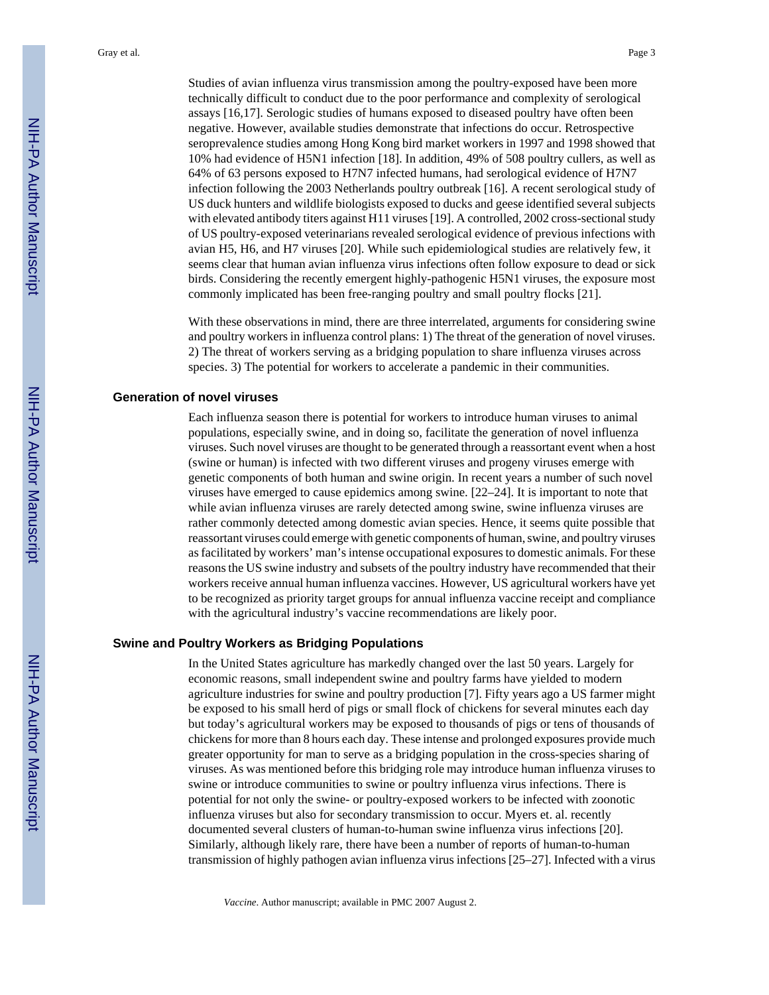Studies of avian influenza virus transmission among the poultry-exposed have been more technically difficult to conduct due to the poor performance and complexity of serological assays [16,17]. Serologic studies of humans exposed to diseased poultry have often been negative. However, available studies demonstrate that infections do occur. Retrospective seroprevalence studies among Hong Kong bird market workers in 1997 and 1998 showed that 10% had evidence of H5N1 infection [18]. In addition, 49% of 508 poultry cullers, as well as 64% of 63 persons exposed to H7N7 infected humans, had serological evidence of H7N7 infection following the 2003 Netherlands poultry outbreak [16]. A recent serological study of US duck hunters and wildlife biologists exposed to ducks and geese identified several subjects with elevated antibody titers against H11 viruses [19]. A controlled, 2002 cross-sectional study of US poultry-exposed veterinarians revealed serological evidence of previous infections with avian H5, H6, and H7 viruses [20]. While such epidemiological studies are relatively few, it seems clear that human avian influenza virus infections often follow exposure to dead or sick birds. Considering the recently emergent highly-pathogenic H5N1 viruses, the exposure most commonly implicated has been free-ranging poultry and small poultry flocks [21].

With these observations in mind, there are three interrelated, arguments for considering swine and poultry workers in influenza control plans: 1) The threat of the generation of novel viruses. 2) The threat of workers serving as a bridging population to share influenza viruses across species. 3) The potential for workers to accelerate a pandemic in their communities.

#### **Generation of novel viruses**

Each influenza season there is potential for workers to introduce human viruses to animal populations, especially swine, and in doing so, facilitate the generation of novel influenza viruses. Such novel viruses are thought to be generated through a reassortant event when a host (swine or human) is infected with two different viruses and progeny viruses emerge with genetic components of both human and swine origin. In recent years a number of such novel viruses have emerged to cause epidemics among swine. [22–24]. It is important to note that while avian influenza viruses are rarely detected among swine, swine influenza viruses are rather commonly detected among domestic avian species. Hence, it seems quite possible that reassortant viruses could emerge with genetic components of human, swine, and poultry viruses as facilitated by workers' man's intense occupational exposures to domestic animals. For these reasons the US swine industry and subsets of the poultry industry have recommended that their workers receive annual human influenza vaccines. However, US agricultural workers have yet to be recognized as priority target groups for annual influenza vaccine receipt and compliance with the agricultural industry's vaccine recommendations are likely poor.

#### **Swine and Poultry Workers as Bridging Populations**

In the United States agriculture has markedly changed over the last 50 years. Largely for economic reasons, small independent swine and poultry farms have yielded to modern agriculture industries for swine and poultry production [7]. Fifty years ago a US farmer might be exposed to his small herd of pigs or small flock of chickens for several minutes each day but today's agricultural workers may be exposed to thousands of pigs or tens of thousands of chickens for more than 8 hours each day. These intense and prolonged exposures provide much greater opportunity for man to serve as a bridging population in the cross-species sharing of viruses. As was mentioned before this bridging role may introduce human influenza viruses to swine or introduce communities to swine or poultry influenza virus infections. There is potential for not only the swine- or poultry-exposed workers to be infected with zoonotic influenza viruses but also for secondary transmission to occur. Myers et. al. recently documented several clusters of human-to-human swine influenza virus infections [20]. Similarly, although likely rare, there have been a number of reports of human-to-human transmission of highly pathogen avian influenza virus infections [25–27]. Infected with a virus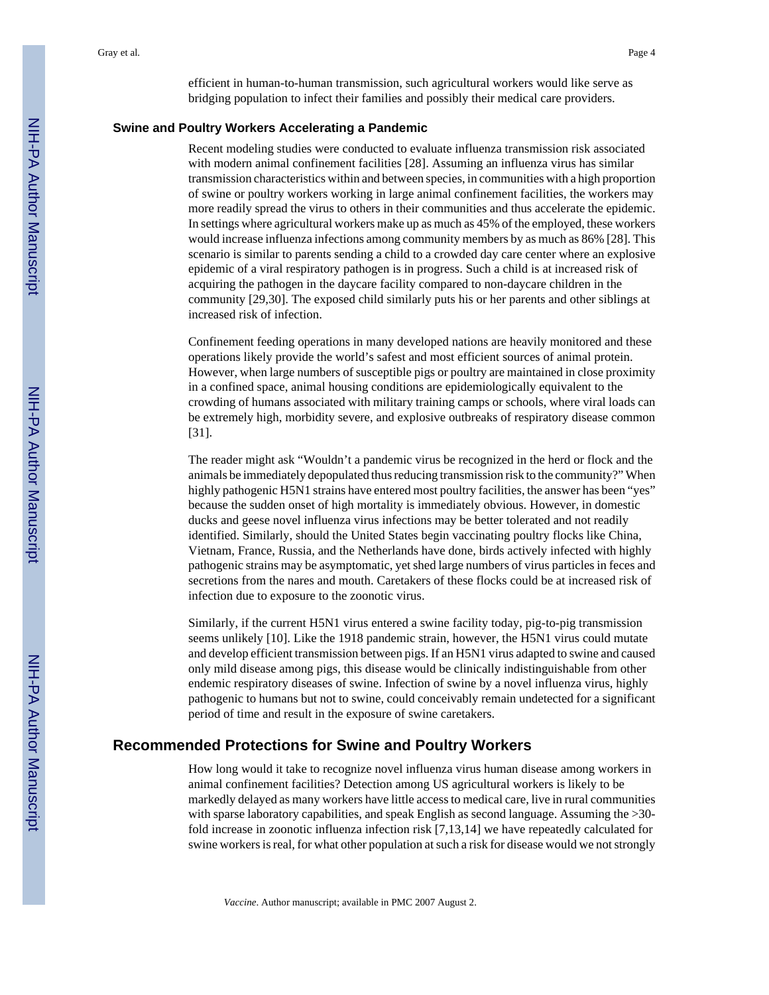efficient in human-to-human transmission, such agricultural workers would like serve as bridging population to infect their families and possibly their medical care providers.

#### **Swine and Poultry Workers Accelerating a Pandemic**

Recent modeling studies were conducted to evaluate influenza transmission risk associated with modern animal confinement facilities [28]. Assuming an influenza virus has similar transmission characteristics within and between species, in communities with a high proportion of swine or poultry workers working in large animal confinement facilities, the workers may more readily spread the virus to others in their communities and thus accelerate the epidemic. In settings where agricultural workers make up as much as 45% of the employed, these workers would increase influenza infections among community members by as much as 86% [28]. This scenario is similar to parents sending a child to a crowded day care center where an explosive epidemic of a viral respiratory pathogen is in progress. Such a child is at increased risk of acquiring the pathogen in the daycare facility compared to non-daycare children in the community [29,30]. The exposed child similarly puts his or her parents and other siblings at increased risk of infection.

Confinement feeding operations in many developed nations are heavily monitored and these operations likely provide the world's safest and most efficient sources of animal protein. However, when large numbers of susceptible pigs or poultry are maintained in close proximity in a confined space, animal housing conditions are epidemiologically equivalent to the crowding of humans associated with military training camps or schools, where viral loads can be extremely high, morbidity severe, and explosive outbreaks of respiratory disease common [31].

The reader might ask "Wouldn't a pandemic virus be recognized in the herd or flock and the animals be immediately depopulated thus reducing transmission risk to the community?" When highly pathogenic H5N1 strains have entered most poultry facilities, the answer has been "yes" because the sudden onset of high mortality is immediately obvious. However, in domestic ducks and geese novel influenza virus infections may be better tolerated and not readily identified. Similarly, should the United States begin vaccinating poultry flocks like China, Vietnam, France, Russia, and the Netherlands have done, birds actively infected with highly pathogenic strains may be asymptomatic, yet shed large numbers of virus particles in feces and secretions from the nares and mouth. Caretakers of these flocks could be at increased risk of infection due to exposure to the zoonotic virus.

Similarly, if the current H5N1 virus entered a swine facility today, pig-to-pig transmission seems unlikely [10]. Like the 1918 pandemic strain, however, the H5N1 virus could mutate and develop efficient transmission between pigs. If an H5N1 virus adapted to swine and caused only mild disease among pigs, this disease would be clinically indistinguishable from other endemic respiratory diseases of swine. Infection of swine by a novel influenza virus, highly pathogenic to humans but not to swine, could conceivably remain undetected for a significant period of time and result in the exposure of swine caretakers.

#### **Recommended Protections for Swine and Poultry Workers**

How long would it take to recognize novel influenza virus human disease among workers in animal confinement facilities? Detection among US agricultural workers is likely to be markedly delayed as many workers have little access to medical care, live in rural communities with sparse laboratory capabilities, and speak English as second language. Assuming the >30 fold increase in zoonotic influenza infection risk [7,13,14] we have repeatedly calculated for swine workers is real, for what other population at such a risk for disease would we not strongly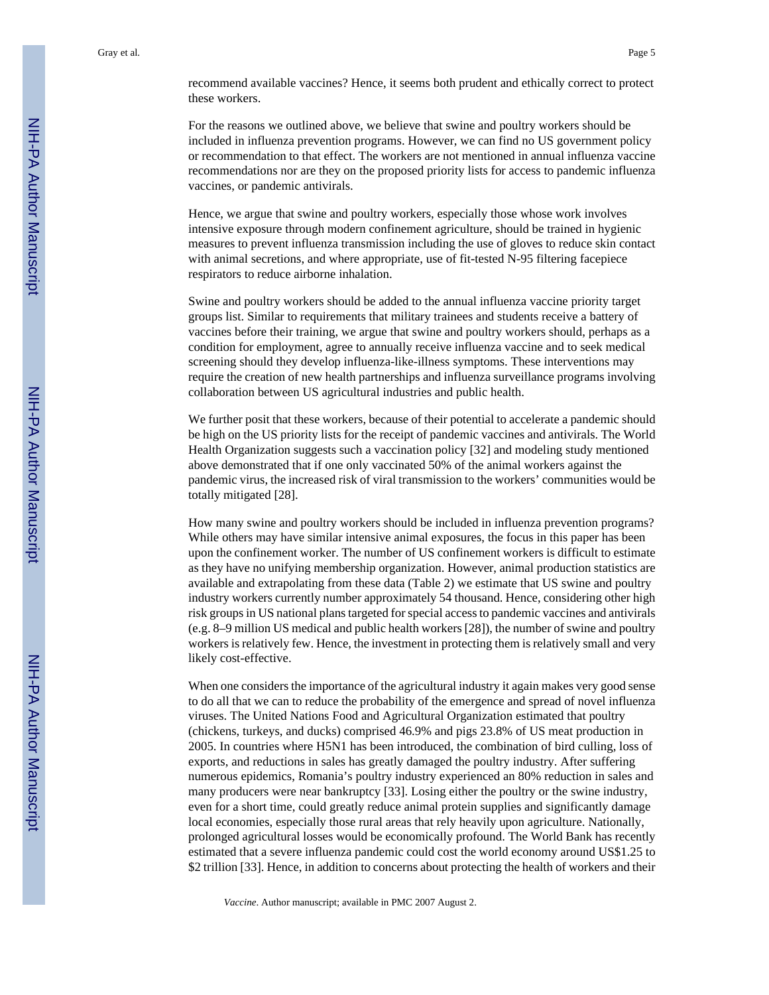recommend available vaccines? Hence, it seems both prudent and ethically correct to protect these workers.

For the reasons we outlined above, we believe that swine and poultry workers should be included in influenza prevention programs. However, we can find no US government policy or recommendation to that effect. The workers are not mentioned in annual influenza vaccine recommendations nor are they on the proposed priority lists for access to pandemic influenza vaccines, or pandemic antivirals.

Hence, we argue that swine and poultry workers, especially those whose work involves intensive exposure through modern confinement agriculture, should be trained in hygienic measures to prevent influenza transmission including the use of gloves to reduce skin contact with animal secretions, and where appropriate, use of fit-tested N-95 filtering facepiece respirators to reduce airborne inhalation.

Swine and poultry workers should be added to the annual influenza vaccine priority target groups list. Similar to requirements that military trainees and students receive a battery of vaccines before their training, we argue that swine and poultry workers should, perhaps as a condition for employment, agree to annually receive influenza vaccine and to seek medical screening should they develop influenza-like-illness symptoms. These interventions may require the creation of new health partnerships and influenza surveillance programs involving collaboration between US agricultural industries and public health.

We further posit that these workers, because of their potential to accelerate a pandemic should be high on the US priority lists for the receipt of pandemic vaccines and antivirals. The World Health Organization suggests such a vaccination policy [32] and modeling study mentioned above demonstrated that if one only vaccinated 50% of the animal workers against the pandemic virus, the increased risk of viral transmission to the workers' communities would be totally mitigated [28].

How many swine and poultry workers should be included in influenza prevention programs? While others may have similar intensive animal exposures, the focus in this paper has been upon the confinement worker. The number of US confinement workers is difficult to estimate as they have no unifying membership organization. However, animal production statistics are available and extrapolating from these data (Table 2) we estimate that US swine and poultry industry workers currently number approximately 54 thousand. Hence, considering other high risk groups in US national plans targeted for special access to pandemic vaccines and antivirals (e.g. 8–9 million US medical and public health workers [28]), the number of swine and poultry workers is relatively few. Hence, the investment in protecting them is relatively small and very likely cost-effective.

When one considers the importance of the agricultural industry it again makes very good sense to do all that we can to reduce the probability of the emergence and spread of novel influenza viruses. The United Nations Food and Agricultural Organization estimated that poultry (chickens, turkeys, and ducks) comprised 46.9% and pigs 23.8% of US meat production in 2005. In countries where H5N1 has been introduced, the combination of bird culling, loss of exports, and reductions in sales has greatly damaged the poultry industry. After suffering numerous epidemics, Romania's poultry industry experienced an 80% reduction in sales and many producers were near bankruptcy [33]. Losing either the poultry or the swine industry, even for a short time, could greatly reduce animal protein supplies and significantly damage local economies, especially those rural areas that rely heavily upon agriculture. Nationally, prolonged agricultural losses would be economically profound. The World Bank has recently estimated that a severe influenza pandemic could cost the world economy around US\$1.25 to \$2 trillion [33]. Hence, in addition to concerns about protecting the health of workers and their

*Vaccine*. Author manuscript; available in PMC 2007 August 2.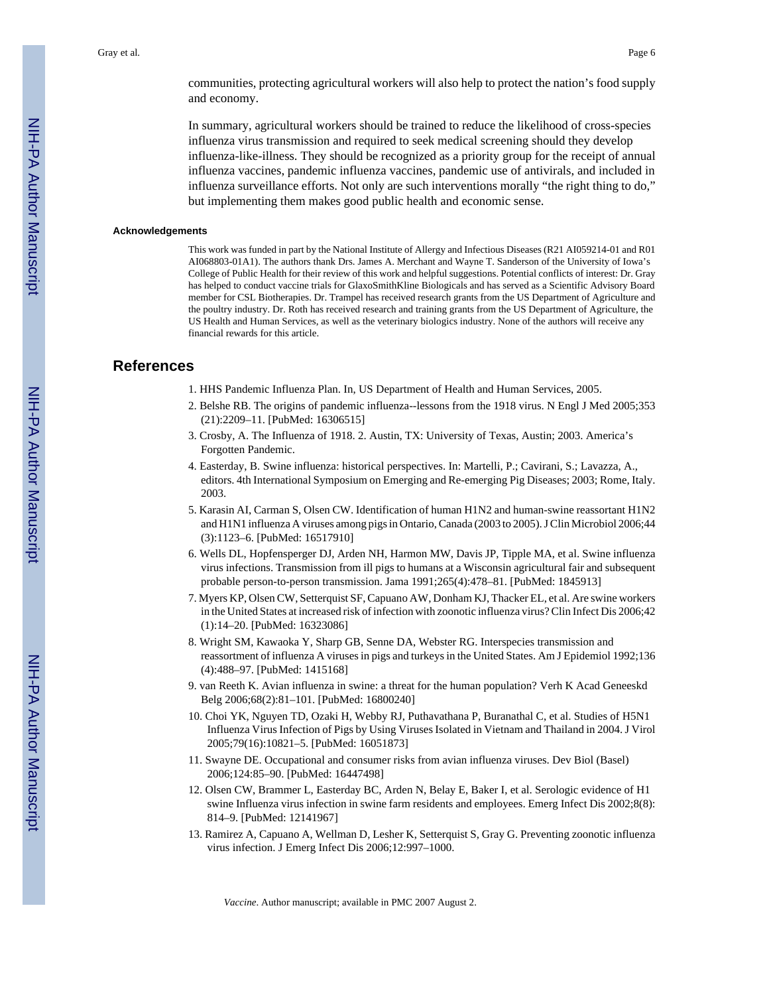communities, protecting agricultural workers will also help to protect the nation's food supply and economy.

In summary, agricultural workers should be trained to reduce the likelihood of cross-species influenza virus transmission and required to seek medical screening should they develop influenza-like-illness. They should be recognized as a priority group for the receipt of annual influenza vaccines, pandemic influenza vaccines, pandemic use of antivirals, and included in influenza surveillance efforts. Not only are such interventions morally "the right thing to do," but implementing them makes good public health and economic sense.

#### **Acknowledgements**

This work was funded in part by the National Institute of Allergy and Infectious Diseases (R21 AI059214-01 and R01 AI068803-01A1). The authors thank Drs. James A. Merchant and Wayne T. Sanderson of the University of Iowa's College of Public Health for their review of this work and helpful suggestions. Potential conflicts of interest: Dr. Gray has helped to conduct vaccine trials for GlaxoSmithKline Biologicals and has served as a Scientific Advisory Board member for CSL Biotherapies. Dr. Trampel has received research grants from the US Department of Agriculture and the poultry industry. Dr. Roth has received research and training grants from the US Department of Agriculture, the US Health and Human Services, as well as the veterinary biologics industry. None of the authors will receive any financial rewards for this article.

#### **References**

1. HHS Pandemic Influenza Plan. In, US Department of Health and Human Services, 2005.

- 2. Belshe RB. The origins of pandemic influenza--lessons from the 1918 virus. N Engl J Med 2005;353 (21):2209–11. [PubMed: 16306515]
- 3. Crosby, A. The Influenza of 1918. 2. Austin, TX: University of Texas, Austin; 2003. America's Forgotten Pandemic.
- 4. Easterday, B. Swine influenza: historical perspectives. In: Martelli, P.; Cavirani, S.; Lavazza, A., editors. 4th International Symposium on Emerging and Re-emerging Pig Diseases; 2003; Rome, Italy. 2003.
- 5. Karasin AI, Carman S, Olsen CW. Identification of human H1N2 and human-swine reassortant H1N2 and H1N1 influenza A viruses among pigs in Ontario, Canada (2003 to 2005). J Clin Microbiol 2006;44 (3):1123–6. [PubMed: 16517910]
- 6. Wells DL, Hopfensperger DJ, Arden NH, Harmon MW, Davis JP, Tipple MA, et al. Swine influenza virus infections. Transmission from ill pigs to humans at a Wisconsin agricultural fair and subsequent probable person-to-person transmission. Jama 1991;265(4):478–81. [PubMed: 1845913]
- 7. Myers KP, Olsen CW, Setterquist SF, Capuano AW, Donham KJ, Thacker EL, et al. Are swine workers in the United States at increased risk of infection with zoonotic influenza virus? Clin Infect Dis 2006;42 (1):14–20. [PubMed: 16323086]
- 8. Wright SM, Kawaoka Y, Sharp GB, Senne DA, Webster RG. Interspecies transmission and reassortment of influenza A viruses in pigs and turkeys in the United States. Am J Epidemiol 1992;136 (4):488–97. [PubMed: 1415168]
- 9. van Reeth K. Avian influenza in swine: a threat for the human population? Verh K Acad Geneeskd Belg 2006;68(2):81–101. [PubMed: 16800240]
- 10. Choi YK, Nguyen TD, Ozaki H, Webby RJ, Puthavathana P, Buranathal C, et al. Studies of H5N1 Influenza Virus Infection of Pigs by Using Viruses Isolated in Vietnam and Thailand in 2004. J Virol 2005;79(16):10821–5. [PubMed: 16051873]
- 11. Swayne DE. Occupational and consumer risks from avian influenza viruses. Dev Biol (Basel) 2006;124:85–90. [PubMed: 16447498]
- 12. Olsen CW, Brammer L, Easterday BC, Arden N, Belay E, Baker I, et al. Serologic evidence of H1 swine Influenza virus infection in swine farm residents and employees. Emerg Infect Dis 2002;8(8): 814–9. [PubMed: 12141967]
- 13. Ramirez A, Capuano A, Wellman D, Lesher K, Setterquist S, Gray G. Preventing zoonotic influenza virus infection. J Emerg Infect Dis 2006;12:997–1000.

*Vaccine*. Author manuscript; available in PMC 2007 August 2.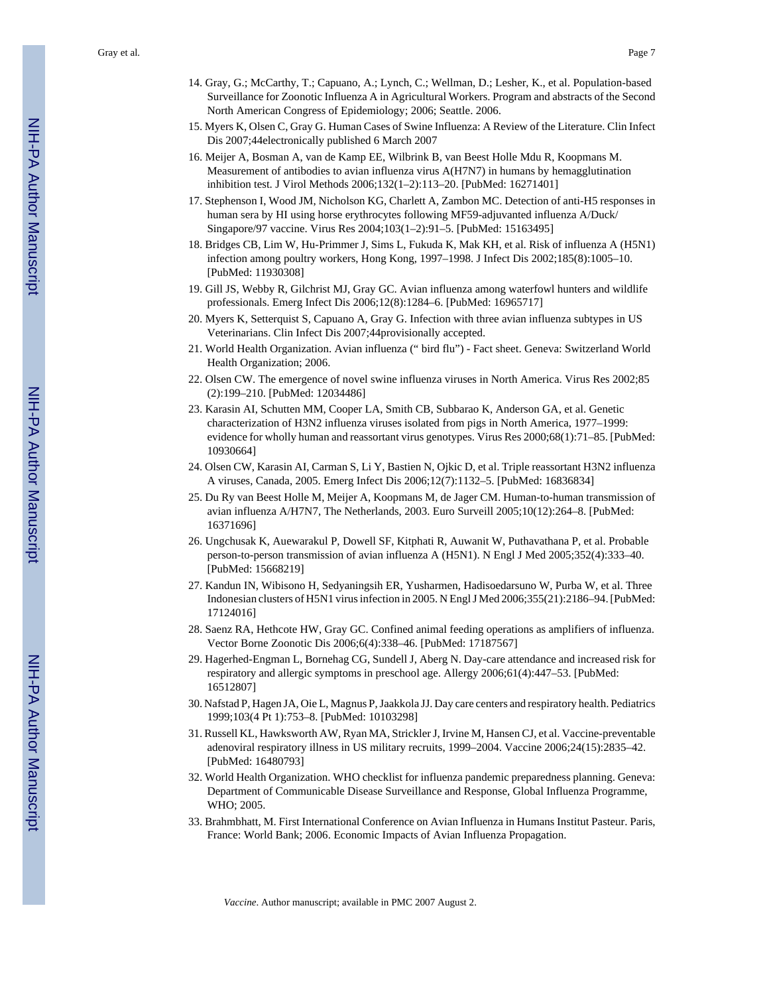Gray et al. Page 7

- 14. Gray, G.; McCarthy, T.; Capuano, A.; Lynch, C.; Wellman, D.; Lesher, K., et al. Population-based Surveillance for Zoonotic Influenza A in Agricultural Workers. Program and abstracts of the Second North American Congress of Epidemiology; 2006; Seattle. 2006.
- 15. Myers K, Olsen C, Gray G. Human Cases of Swine Influenza: A Review of the Literature. Clin Infect Dis 2007;44electronically published 6 March 2007
- 16. Meijer A, Bosman A, van de Kamp EE, Wilbrink B, van Beest Holle Mdu R, Koopmans M. Measurement of antibodies to avian influenza virus A(H7N7) in humans by hemagglutination inhibition test. J Virol Methods 2006;132(1–2):113–20. [PubMed: 16271401]
- 17. Stephenson I, Wood JM, Nicholson KG, Charlett A, Zambon MC. Detection of anti-H5 responses in human sera by HI using horse erythrocytes following MF59-adjuvanted influenza A/Duck/ Singapore/97 vaccine. Virus Res 2004;103(1–2):91–5. [PubMed: 15163495]
- 18. Bridges CB, Lim W, Hu-Primmer J, Sims L, Fukuda K, Mak KH, et al. Risk of influenza A (H5N1) infection among poultry workers, Hong Kong, 1997–1998. J Infect Dis 2002;185(8):1005–10. [PubMed: 11930308]
- 19. Gill JS, Webby R, Gilchrist MJ, Gray GC. Avian influenza among waterfowl hunters and wildlife professionals. Emerg Infect Dis 2006;12(8):1284–6. [PubMed: 16965717]
- 20. Myers K, Setterquist S, Capuano A, Gray G. Infection with three avian influenza subtypes in US Veterinarians. Clin Infect Dis 2007;44provisionally accepted.
- 21. World Health Organization. Avian influenza (" bird flu") Fact sheet. Geneva: Switzerland World Health Organization; 2006.
- 22. Olsen CW. The emergence of novel swine influenza viruses in North America. Virus Res 2002;85 (2):199–210. [PubMed: 12034486]
- 23. Karasin AI, Schutten MM, Cooper LA, Smith CB, Subbarao K, Anderson GA, et al. Genetic characterization of H3N2 influenza viruses isolated from pigs in North America, 1977–1999: evidence for wholly human and reassortant virus genotypes. Virus Res 2000;68(1):71–85. [PubMed: 10930664]
- 24. Olsen CW, Karasin AI, Carman S, Li Y, Bastien N, Ojkic D, et al. Triple reassortant H3N2 influenza A viruses, Canada, 2005. Emerg Infect Dis 2006;12(7):1132–5. [PubMed: 16836834]
- 25. Du Ry van Beest Holle M, Meijer A, Koopmans M, de Jager CM. Human-to-human transmission of avian influenza A/H7N7, The Netherlands, 2003. Euro Surveill 2005;10(12):264–8. [PubMed: 16371696]
- 26. Ungchusak K, Auewarakul P, Dowell SF, Kitphati R, Auwanit W, Puthavathana P, et al. Probable person-to-person transmission of avian influenza A (H5N1). N Engl J Med 2005;352(4):333–40. [PubMed: 15668219]
- 27. Kandun IN, Wibisono H, Sedyaningsih ER, Yusharmen, Hadisoedarsuno W, Purba W, et al. Three Indonesian clusters of H5N1 virus infection in 2005. N Engl J Med 2006;355(21):2186–94. [PubMed: 17124016]
- 28. Saenz RA, Hethcote HW, Gray GC. Confined animal feeding operations as amplifiers of influenza. Vector Borne Zoonotic Dis 2006;6(4):338–46. [PubMed: 17187567]
- 29. Hagerhed-Engman L, Bornehag CG, Sundell J, Aberg N. Day-care attendance and increased risk for respiratory and allergic symptoms in preschool age. Allergy 2006;61(4):447–53. [PubMed: 16512807]
- 30. Nafstad P, Hagen JA, Oie L, Magnus P, Jaakkola JJ. Day care centers and respiratory health. Pediatrics 1999;103(4 Pt 1):753–8. [PubMed: 10103298]
- 31. Russell KL, Hawksworth AW, Ryan MA, Strickler J, Irvine M, Hansen CJ, et al. Vaccine-preventable adenoviral respiratory illness in US military recruits, 1999–2004. Vaccine 2006;24(15):2835–42. [PubMed: 16480793]
- 32. World Health Organization. WHO checklist for influenza pandemic preparedness planning. Geneva: Department of Communicable Disease Surveillance and Response, Global Influenza Programme, WHO; 2005.
- 33. Brahmbhatt, M. First International Conference on Avian Influenza in Humans Institut Pasteur. Paris, France: World Bank; 2006. Economic Impacts of Avian Influenza Propagation.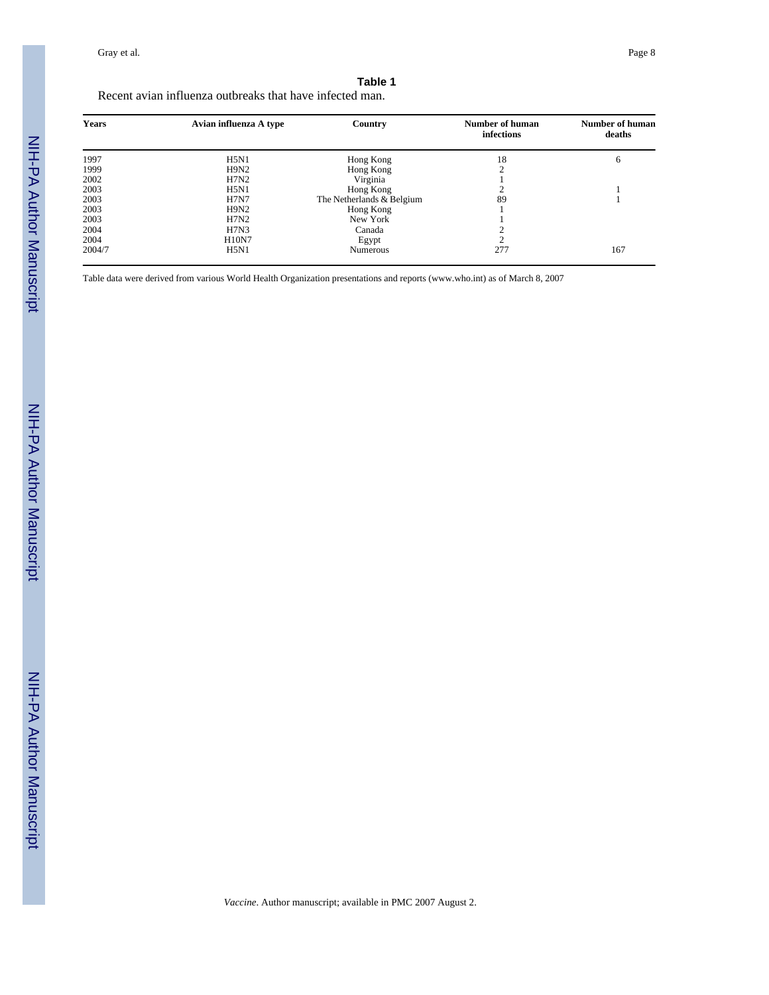### **Table 1**

Recent avian influenza outbreaks that have infected man.

| <b>Years</b> | Avian influenza A type | Country                   | Number of human<br>infections | <b>Number of human</b><br>deaths |
|--------------|------------------------|---------------------------|-------------------------------|----------------------------------|
| 1997         | H5N1                   | Hong Kong                 | 18                            | 6                                |
| 1999         | H9N2                   | Hong Kong                 | ◠                             |                                  |
| 2002         | H7N2                   | Virginia                  |                               |                                  |
| 2003         | H5N1                   | Hong Kong                 |                               |                                  |
| 2003         | <b>H7N7</b>            | The Netherlands & Belgium | 89                            |                                  |
| 2003         | H9N2                   | Hong Kong                 |                               |                                  |
| 2003         | H7N2                   | New York                  |                               |                                  |
| 2004         | H7N3                   | Canada                    |                               |                                  |
| 2004         | <b>H10N7</b>           | Egypt                     |                               |                                  |
| 2004/7       | H5N1                   | Numerous                  | 277                           | 167                              |

Table data were derived from various World Health Organization presentations and reports (www.who.int) as of March 8, 2007

*Vaccine*. Author manuscript; available in PMC 2007 August 2.